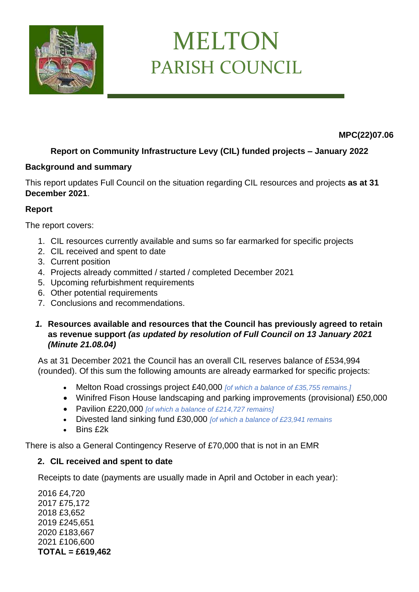

# MELTON PARISH COUNCIL

 **MPC(22)07.06**

## **Report on Community Infrastructure Levy (CIL) funded projects – January 2022**

#### **Background and summary**

This report updates Full Council on the situation regarding CIL resources and projects **as at 31 December 2021**.

#### **Report**

The report covers:

- 1. CIL resources currently available and sums so far earmarked for specific projects
- 2. CIL received and spent to date
- 3. Current position
- 4. Projects already committed / started / completed December 2021
- 5. Upcoming refurbishment requirements
- 6. Other potential requirements
- 7. Conclusions and recommendations.
- *1.* **Resources available and resources that the Council has previously agreed to retain as revenue support** *(as updated by resolution of Full Council on 13 January 2021 (Minute 21.08.04)*

As at 31 December 2021 the Council has an overall CIL reserves balance of £534,994 (rounded). Of this sum the following amounts are already earmarked for specific projects:

- Melton Road crossings project £40,000 *[of which a balance of £35,755 remains.]*
- Winifred Fison House landscaping and parking improvements (provisional) £50,000
- Pavilion £220,000 *[of which a balance of £214,727 remains]*
- Divested land sinking fund £30,000 *[of which a balance of £23,941 remains*
- Bins £2k

There is also a General Contingency Reserve of £70,000 that is not in an EMR

#### **2. CIL received and spent to date**

Receipts to date (payments are usually made in April and October in each year):

2016 £4,720 2017 £75,172 2018 £3,652 2019 £245,651 2020 £183,667 2021 £106,600 **TOTAL = £619,462**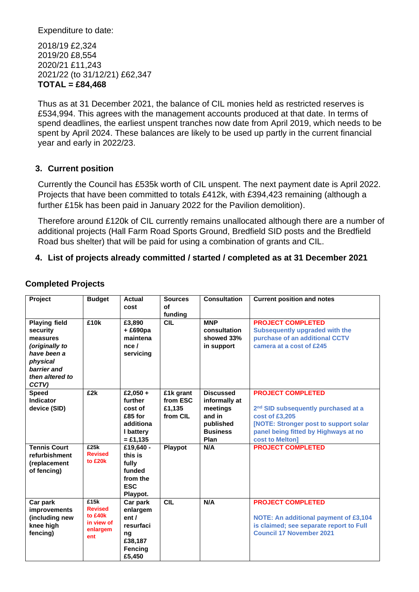Expenditure to date:

2018/19 £2,324 2019/20 £8,554 2020/21 £11,243 2021/22 (to 31/12/21) £62,347 **TOTAL = £84,468**

Thus as at 31 December 2021, the balance of CIL monies held as restricted reserves is £534,994. This agrees with the management accounts produced at that date. In terms of spend deadlines, the earliest unspent tranches now date from April 2019, which needs to be spent by April 2024. These balances are likely to be used up partly in the current financial year and early in 2022/23.

#### **3. Current position**

Currently the Council has £535k worth of CIL unspent. The next payment date is April 2022. Projects that have been committed to totals £412k, with £394,423 remaining (although a further £15k has been paid in January 2022 for the Pavilion demolition).

Therefore around £120k of CIL currently remains unallocated although there are a number of additional projects (Hall Farm Road Sports Ground, Bredfield SID posts and the Bredfield Road bus shelter) that will be paid for using a combination of grants and CIL.

#### **4. List of projects already committed / started / completed as at 31 December 2021**

| Project                                                                                                                              | <b>Budget</b>                                                      | Actual<br>cost                                                                    | <b>Sources</b><br>of<br>funding             | <b>Consultation</b>                                                                             | <b>Current position and notes</b>                                                                                                                                                                 |
|--------------------------------------------------------------------------------------------------------------------------------------|--------------------------------------------------------------------|-----------------------------------------------------------------------------------|---------------------------------------------|-------------------------------------------------------------------------------------------------|---------------------------------------------------------------------------------------------------------------------------------------------------------------------------------------------------|
| <b>Playing field</b><br>security<br>measures<br>(originally to<br>have been a<br>physical<br>barrier and<br>then altered to<br>CCTV) | £10k                                                               | £3,890<br>+ £690pa<br>maintena<br>nce/<br>servicing                               | <b>CIL</b>                                  | <b>MNP</b><br>consultation<br>showed 33%<br>in support                                          | <b>PROJECT COMPLETED</b><br><b>Subsequently upgraded with the</b><br>purchase of an additional CCTV<br>camera at a cost of £245                                                                   |
| <b>Speed</b><br><b>Indicator</b><br>device (SID)                                                                                     | £2k                                                                | £2,050 +<br>further<br>cost of<br>£85 for<br>additiona<br>I battery<br>$= £1,135$ | £1k grant<br>from ESC<br>£1,135<br>from CIL | <b>Discussed</b><br>informally at<br>meetings<br>and in<br>published<br><b>Business</b><br>Plan | <b>PROJECT COMPLETED</b><br>2 <sup>nd</sup> SID subsequently purchased at a<br>cost of £3,205<br>[NOTE: Stronger post to support solar<br>panel being fitted by Highways at no<br>cost to Melton] |
| <b>Tennis Court</b><br>refurbishment<br>(replacement<br>of fencing)                                                                  | E25k<br><b>Revised</b><br>to £20k                                  | £19,640 -<br>this is<br>fully<br>funded<br>from the<br><b>ESC</b><br>Playpot.     | Playpot                                     | N/A                                                                                             | <b>PROJECT COMPLETED</b>                                                                                                                                                                          |
| Car park<br>improvements<br>(including new<br>knee high<br>fencing)                                                                  | £15k<br><b>Revised</b><br>to £40k<br>in view of<br>enlargem<br>ent | Car park<br>enlargem<br>ent/<br>resurfaci<br>ng<br>£38,187<br>Fencing<br>£5,450   | CIL                                         | N/A                                                                                             | <b>PROJECT COMPLETED</b><br>NOTE: An additional payment of £3,104<br>is claimed; see separate report to Full<br><b>Council 17 November 2021</b>                                                   |

#### **Completed Projects**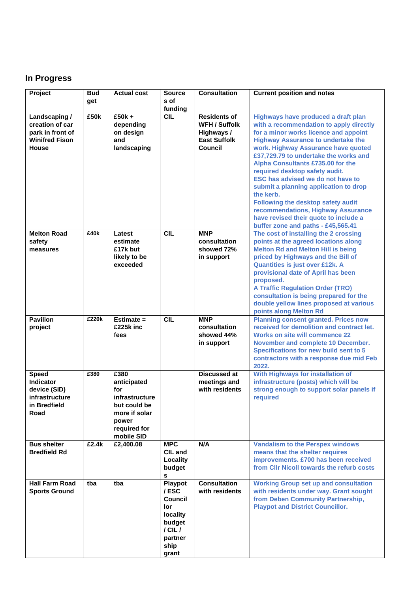# **In Progress**

| Project               | <b>Bud</b> | <b>Actual cost</b>         | <b>Source</b>   | <b>Consultation</b>  | <b>Current position and notes</b>                    |
|-----------------------|------------|----------------------------|-----------------|----------------------|------------------------------------------------------|
|                       | get        |                            | s of<br>funding |                      |                                                      |
| Landscaping /         | £50k       | $£50k +$                   | <b>CIL</b>      | <b>Residents of</b>  | Highways have produced a draft plan                  |
| creation of car       |            | depending                  |                 | <b>WFH / Suffolk</b> | with a recommendation to apply directly              |
| park in front of      |            | on design                  |                 | Highways /           | for a minor works licence and appoint                |
| <b>Winifred Fison</b> |            | and                        |                 | <b>East Suffolk</b>  | <b>Highway Assurance to undertake the</b>            |
| <b>House</b>          |            | landscaping                |                 | <b>Council</b>       | work. Highway Assurance have quoted                  |
|                       |            |                            |                 |                      | £37,729.79 to undertake the works and                |
|                       |            |                            |                 |                      | Alpha Consultants £735.00 for the                    |
|                       |            |                            |                 |                      | required desktop safety audit.                       |
|                       |            |                            |                 |                      | <b>ESC has advised we do not have to</b>             |
|                       |            |                            |                 |                      | submit a planning application to drop                |
|                       |            |                            |                 |                      | the kerb.<br>Following the desktop safety audit      |
|                       |            |                            |                 |                      | recommendations, Highway Assurance                   |
|                       |            |                            |                 |                      | have revised their quote to include a                |
|                       |            |                            |                 |                      | buffer zone and paths - £45,565.41                   |
| <b>Melton Road</b>    | £40k       | Latest                     | <b>CIL</b>      | <b>MNP</b>           | The cost of installing the 2 crossing                |
| safety                |            | estimate                   |                 | consultation         | points at the agreed locations along                 |
| measures              |            | £17k but                   |                 | showed 72%           | <b>Melton Rd and Melton Hill is being</b>            |
|                       |            | likely to be               |                 | in support           | priced by Highways and the Bill of                   |
|                       |            | exceeded                   |                 |                      | Quantities is just over £12k. A                      |
|                       |            |                            |                 |                      | provisional date of April has been                   |
|                       |            |                            |                 |                      | proposed.<br><b>A Traffic Regulation Order (TRO)</b> |
|                       |            |                            |                 |                      | consultation is being prepared for the               |
|                       |            |                            |                 |                      | double yellow lines proposed at various              |
|                       |            |                            |                 |                      | points along Melton Rd                               |
| <b>Pavilion</b>       | £220k      | Estimate $=$               | <b>CIL</b>      | <b>MNP</b>           | <b>Planning consent granted. Prices now</b>          |
| project               |            | £225k inc                  |                 | consultation         | received for demolition and contract let.            |
|                       |            | fees                       |                 | showed 44%           | <b>Works on site will commence 22</b>                |
|                       |            |                            |                 | in support           | November and complete 10 December.                   |
|                       |            |                            |                 |                      | Specifications for new build sent to 5               |
|                       |            |                            |                 |                      | contractors with a response due mid Feb<br>2022.     |
| <b>Speed</b>          | £380       | £380                       |                 | <b>Discussed at</b>  | With Highways for installation of                    |
| <b>Indicator</b>      |            | anticipated                |                 | meetings and         | infrastructure (posts) which will be                 |
| device (SID)          |            | for                        |                 | with residents       | strong enough to support solar panels if             |
| infrastructure        |            | infrastructure             |                 |                      | required                                             |
| in Bredfield          |            | but could be               |                 |                      |                                                      |
| Road                  |            | more if solar              |                 |                      |                                                      |
|                       |            | power                      |                 |                      |                                                      |
|                       |            | required for<br>mobile SID |                 |                      |                                                      |
| <b>Bus shelter</b>    | £2.4k      | £2,400.08                  | <b>MPC</b>      | N/A                  | <b>Vandalism to the Perspex windows</b>              |
| <b>Bredfield Rd</b>   |            |                            | CIL and         |                      | means that the shelter requires                      |
|                       |            |                            | Locality        |                      | improvements. £700 has been received                 |
|                       |            |                            | budget          |                      | from Cllr Nicoll towards the refurb costs            |
|                       |            |                            | s               |                      |                                                      |
| <b>Hall Farm Road</b> | tba        | tba                        | Playpot         | <b>Consultation</b>  | <b>Working Group set up and consultation</b>         |
| <b>Sports Ground</b>  |            |                            | /ESC            | with residents       | with residents under way. Grant sought               |
|                       |            |                            | Council<br>lor  |                      | from Deben Community Partnership,                    |
|                       |            |                            | locality        |                      | <b>Playpot and District Councillor.</b>              |
|                       |            |                            | budget          |                      |                                                      |
|                       |            |                            | $/$ CIL $/$     |                      |                                                      |
|                       |            |                            | partner         |                      |                                                      |
|                       |            |                            | ship            |                      |                                                      |
|                       |            |                            | grant           |                      |                                                      |